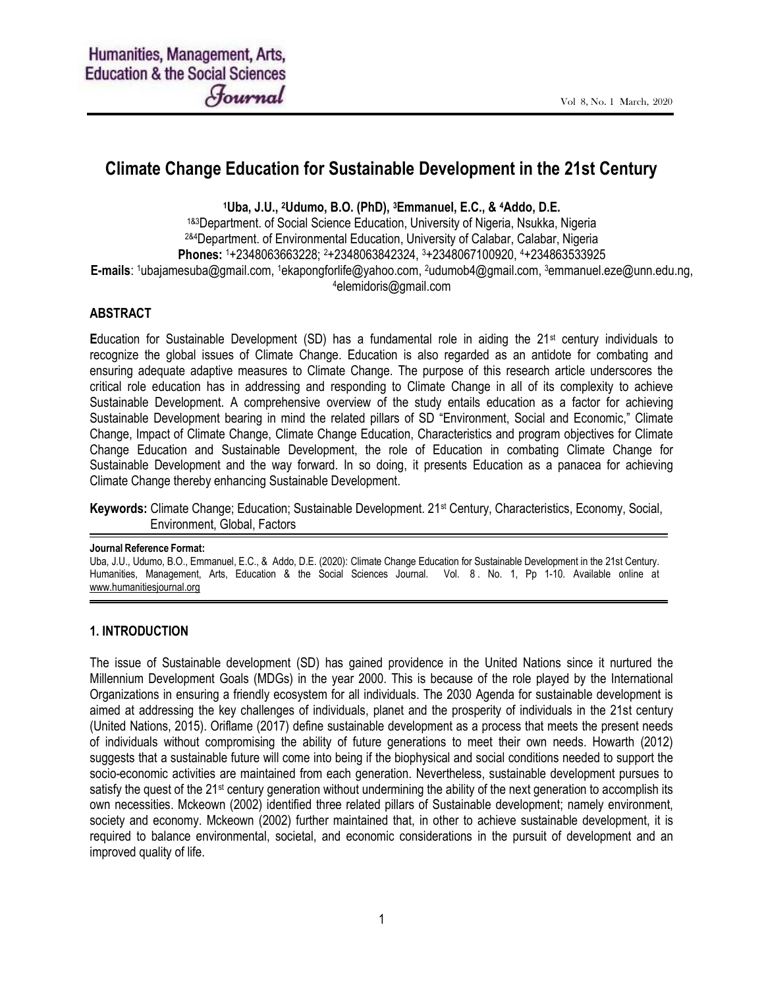# Climate Change Education for Sustainable Development in the 21st Century

<sup>1</sup>Uba, J.U., 2Udumo, B.O. (PhD), 3Emmanuel, E.C., & 4Addo, D.E.

1&3Department. of Social Science Education, University of Nigeria, Nsukka, Nigeria 2&4Department. of Environmental Education, University of Calabar, Calabar, Nigeria Phones: 1+2348063663228; 2+2348063842324, 3+2348067100920, 4+234863533925 E-mails: 1ubajamesuba@gmail.com, 1ekapongforlife@yahoo.com, 2udumob4@gmail.com, 3emmanuel.eze@unn.edu.ng, <sup>4</sup>elemidoris@gmail.com

#### ABSTRACT

Education for Sustainable Development (SD) has a fundamental role in aiding the  $21<sup>st</sup>$  century individuals to recognize the global issues of Climate Change. Education is also regarded as an antidote for combating and ensuring adequate adaptive measures to Climate Change. The purpose of this research article underscores the critical role education has in addressing and responding to Climate Change in all of its complexity to achieve Sustainable Development. A comprehensive overview of the study entails education as a factor for achieving Sustainable Development bearing in mind the related pillars of SD "Environment, Social and Economic," Climate Change, Impact of Climate Change, Climate Change Education, Characteristics and program objectives for Climate Change Education and Sustainable Development, the role of Education in combating Climate Change for Sustainable Development and the way forward. In so doing, it presents Education as a panacea for achieving Climate Change thereby enhancing Sustainable Development.

Keywords: Climate Change; Education; Sustainable Development. 21st Century, Characteristics, Economy, Social, Environment, Global, Factors

#### Journal Reference Format:

Uba, J.U., Udumo, B.O., Emmanuel, E.C., & Addo, D.E. (2020): Climate Change Education for Sustainable Development in the 21st Century. Humanities, Management, Arts, Education & the Social Sciences Journal. Vol. 8 . No. 1, Pp 1-10. Available online at www.humanitiesjournal.org

#### 1. INTRODUCTION

The issue of Sustainable development (SD) has gained providence in the United Nations since it nurtured the Millennium Development Goals (MDGs) in the year 2000. This is because of the role played by the International Organizations in ensuring a friendly ecosystem for all individuals. The 2030 Agenda for sustainable development is aimed at addressing the key challenges of individuals, planet and the prosperity of individuals in the 21st century (United Nations, 2015). Oriflame (2017) define sustainable development as a process that meets the present needs of individuals without compromising the ability of future generations to meet their own needs. Howarth (2012) suggests that a sustainable future will come into being if the biophysical and social conditions needed to support the socio-economic activities are maintained from each generation. Nevertheless, sustainable development pursues to satisfy the quest of the 21<sup>st</sup> century generation without undermining the ability of the next generation to accomplish its own necessities. Mckeown (2002) identified three related pillars of Sustainable development; namely environment, society and economy. Mckeown (2002) further maintained that, in other to achieve sustainable development, it is required to balance environmental, societal, and economic considerations in the pursuit of development and an improved quality of life.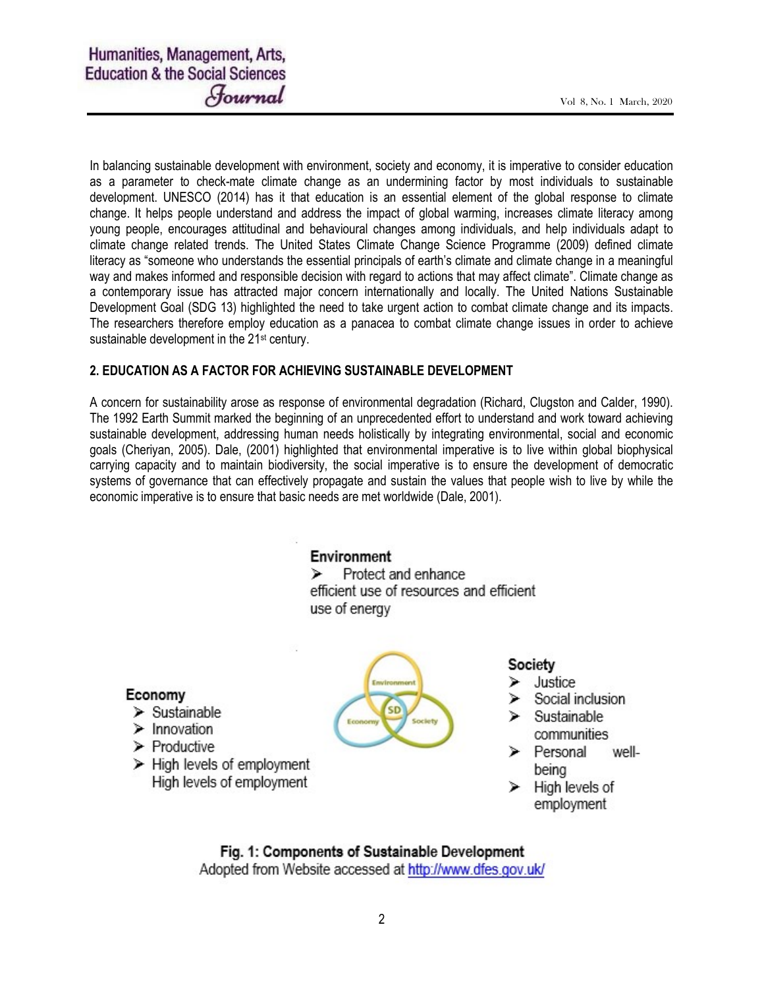In balancing sustainable development with environment, society and economy, it is imperative to consider education as a parameter to check-mate climate change as an undermining factor by most individuals to sustainable development. UNESCO (2014) has it that education is an essential element of the global response to climate change. It helps people understand and address the impact of global warming, increases climate literacy among young people, encourages attitudinal and behavioural changes among individuals, and help individuals adapt to climate change related trends. The United States Climate Change Science Programme (2009) defined climate literacy as "someone who understands the essential principals of earth's climate and climate change in a meaningful way and makes informed and responsible decision with regard to actions that may affect climate". Climate change as a contemporary issue has attracted major concern internationally and locally. The United Nations Sustainable Development Goal (SDG 13) highlighted the need to take urgent action to combat climate change and its impacts. The researchers therefore employ education as a panacea to combat climate change issues in order to achieve sustainable development in the 21<sup>st</sup> century.

### 2. EDUCATION AS A FACTOR FOR ACHIEVING SUSTAINABLE DEVELOPMENT

A concern for sustainability arose as response of environmental degradation (Richard, Clugston and Calder, 1990). The 1992 Earth Summit marked the beginning of an unprecedented effort to understand and work toward achieving sustainable development, addressing human needs holistically by integrating environmental, social and economic goals (Cheriyan, 2005). Dale, (2001) highlighted that environmental imperative is to live within global biophysical carrying capacity and to maintain biodiversity, the social imperative is to ensure the development of democratic systems of governance that can effectively propagate and sustain the values that people wish to live by while the economic imperative is to ensure that basic needs are met worldwide (Dale, 2001).

# Environment

Protect and enhance ⋗ efficient use of resources and efficient use of energy

# Economy

- $\triangleright$  Sustainable
- $\triangleright$  Innovation
- $\triangleright$  Productive
- $\triangleright$  High levels of employment High levels of employment



# Society

- Justice
- Social inclusion  $\triangleright$  Sustainable
- communities > Personal well-
- being
- High levels of ⋗ employment

# Fig. 1: Components of Sustainable Development

Adopted from Website accessed at http://www.dfes.gov.uk/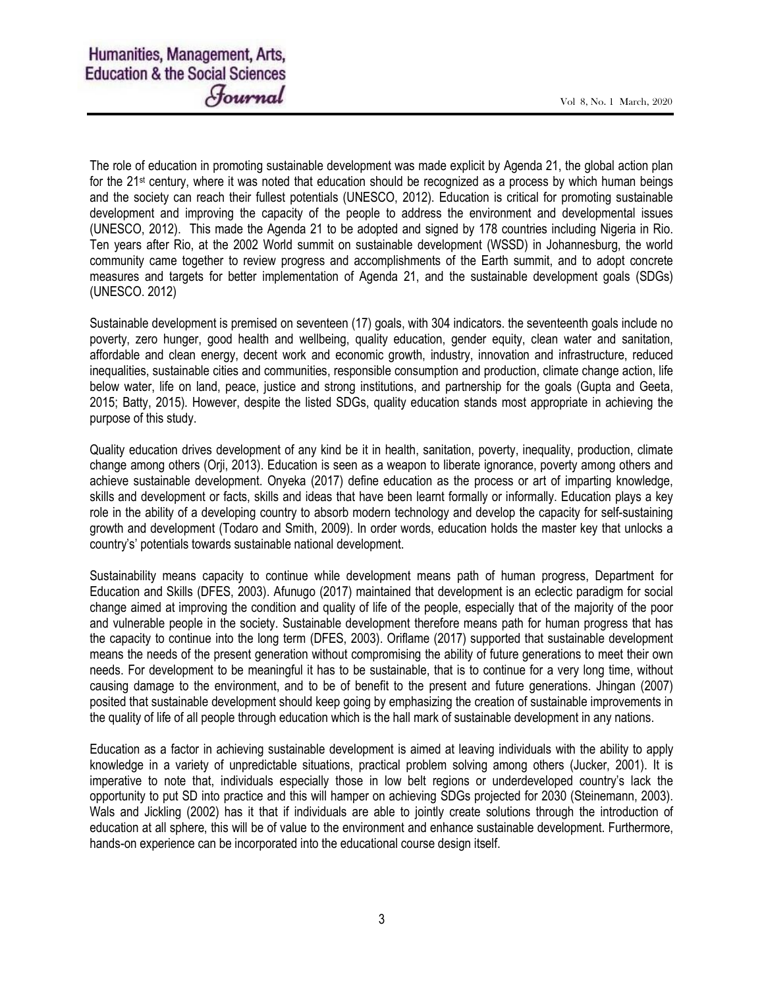The role of education in promoting sustainable development was made explicit by Agenda 21, the global action plan for the 21<sup>st</sup> century, where it was noted that education should be recognized as a process by which human beings and the society can reach their fullest potentials (UNESCO, 2012). Education is critical for promoting sustainable development and improving the capacity of the people to address the environment and developmental issues (UNESCO, 2012). This made the Agenda 21 to be adopted and signed by 178 countries including Nigeria in Rio. Ten years after Rio, at the 2002 World summit on sustainable development (WSSD) in Johannesburg, the world community came together to review progress and accomplishments of the Earth summit, and to adopt concrete measures and targets for better implementation of Agenda 21, and the sustainable development goals (SDGs) (UNESCO. 2012)

Sustainable development is premised on seventeen (17) goals, with 304 indicators. the seventeenth goals include no poverty, zero hunger, good health and wellbeing, quality education, gender equity, clean water and sanitation, affordable and clean energy, decent work and economic growth, industry, innovation and infrastructure, reduced inequalities, sustainable cities and communities, responsible consumption and production, climate change action, life below water, life on land, peace, justice and strong institutions, and partnership for the goals (Gupta and Geeta, 2015; Batty, 2015). However, despite the listed SDGs, quality education stands most appropriate in achieving the purpose of this study.

Quality education drives development of any kind be it in health, sanitation, poverty, inequality, production, climate change among others (Orji, 2013). Education is seen as a weapon to liberate ignorance, poverty among others and achieve sustainable development. Onyeka (2017) define education as the process or art of imparting knowledge, skills and development or facts, skills and ideas that have been learnt formally or informally. Education plays a key role in the ability of a developing country to absorb modern technology and develop the capacity for self-sustaining growth and development (Todaro and Smith, 2009). In order words, education holds the master key that unlocks a country's' potentials towards sustainable national development.

Sustainability means capacity to continue while development means path of human progress, Department for Education and Skills (DFES, 2003). Afunugo (2017) maintained that development is an eclectic paradigm for social change aimed at improving the condition and quality of life of the people, especially that of the majority of the poor and vulnerable people in the society. Sustainable development therefore means path for human progress that has the capacity to continue into the long term (DFES, 2003). Oriflame (2017) supported that sustainable development means the needs of the present generation without compromising the ability of future generations to meet their own needs. For development to be meaningful it has to be sustainable, that is to continue for a very long time, without causing damage to the environment, and to be of benefit to the present and future generations. Jhingan (2007) posited that sustainable development should keep going by emphasizing the creation of sustainable improvements in the quality of life of all people through education which is the hall mark of sustainable development in any nations.

Education as a factor in achieving sustainable development is aimed at leaving individuals with the ability to apply knowledge in a variety of unpredictable situations, practical problem solving among others (Jucker, 2001). It is imperative to note that, individuals especially those in low belt regions or underdeveloped country's lack the opportunity to put SD into practice and this will hamper on achieving SDGs projected for 2030 (Steinemann, 2003). Wals and Jickling (2002) has it that if individuals are able to jointly create solutions through the introduction of education at all sphere, this will be of value to the environment and enhance sustainable development. Furthermore, hands-on experience can be incorporated into the educational course design itself.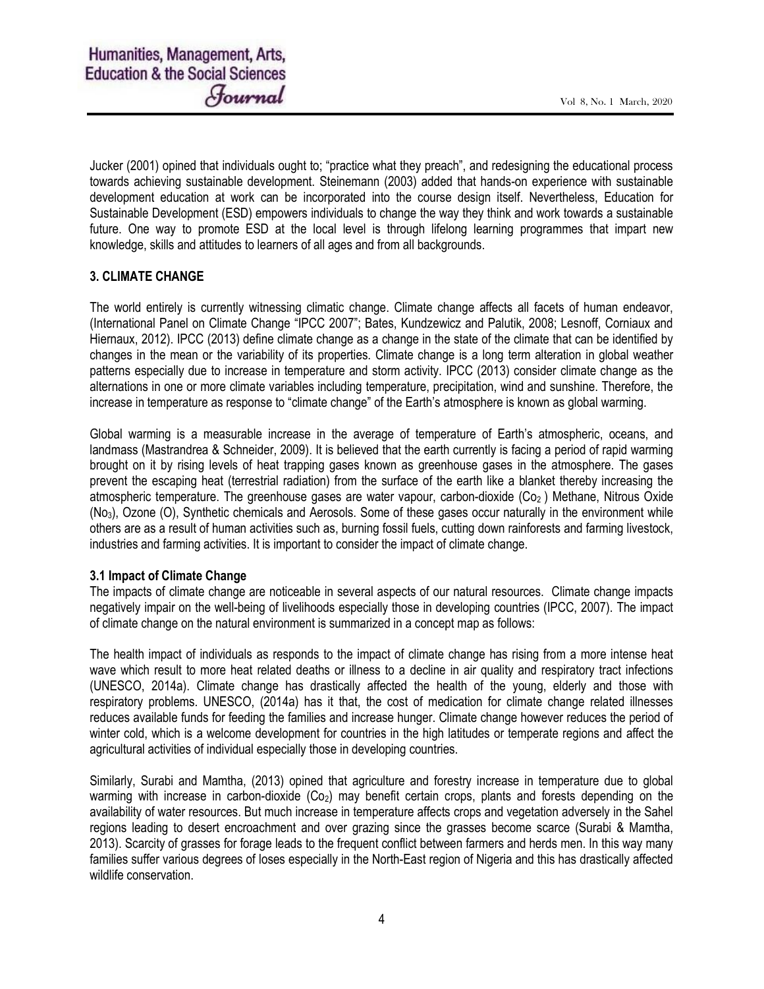Jucker (2001) opined that individuals ought to; "practice what they preach", and redesigning the educational process towards achieving sustainable development. Steinemann (2003) added that hands-on experience with sustainable development education at work can be incorporated into the course design itself. Nevertheless, Education for Sustainable Development (ESD) empowers individuals to change the way they think and work towards a sustainable future. One way to promote ESD at the local level is through lifelong learning programmes that impart new knowledge, skills and attitudes to learners of all ages and from all backgrounds.

### 3. CLIMATE CHANGE

The world entirely is currently witnessing climatic change. Climate change affects all facets of human endeavor, (International Panel on Climate Change "IPCC 2007"; Bates, Kundzewicz and Palutik, 2008; Lesnoff, Corniaux and Hiernaux, 2012). IPCC (2013) define climate change as a change in the state of the climate that can be identified by changes in the mean or the variability of its properties. Climate change is a long term alteration in global weather patterns especially due to increase in temperature and storm activity. IPCC (2013) consider climate change as the alternations in one or more climate variables including temperature, precipitation, wind and sunshine. Therefore, the increase in temperature as response to "climate change" of the Earth's atmosphere is known as global warming.

Global warming is a measurable increase in the average of temperature of Earth's atmospheric, oceans, and landmass (Mastrandrea & Schneider, 2009). It is believed that the earth currently is facing a period of rapid warming brought on it by rising levels of heat trapping gases known as greenhouse gases in the atmosphere. The gases prevent the escaping heat (terrestrial radiation) from the surface of the earth like a blanket thereby increasing the atmospheric temperature. The greenhouse gases are water vapour, carbon-dioxide  $(C_2)$ ) Methane, Nitrous Oxide (No3), Ozone (O), Synthetic chemicals and Aerosols. Some of these gases occur naturally in the environment while others are as a result of human activities such as, burning fossil fuels, cutting down rainforests and farming livestock, industries and farming activities. It is important to consider the impact of climate change.

### 3.1 Impact of Climate Change

The impacts of climate change are noticeable in several aspects of our natural resources. Climate change impacts negatively impair on the well-being of livelihoods especially those in developing countries (IPCC, 2007). The impact of climate change on the natural environment is summarized in a concept map as follows:

The health impact of individuals as responds to the impact of climate change has rising from a more intense heat wave which result to more heat related deaths or illness to a decline in air quality and respiratory tract infections (UNESCO, 2014a). Climate change has drastically affected the health of the young, elderly and those with respiratory problems. UNESCO, (2014a) has it that, the cost of medication for climate change related illnesses reduces available funds for feeding the families and increase hunger. Climate change however reduces the period of winter cold, which is a welcome development for countries in the high latitudes or temperate regions and affect the agricultural activities of individual especially those in developing countries.

Similarly, Surabi and Mamtha, (2013) opined that agriculture and forestry increase in temperature due to global warming with increase in carbon-dioxide (Co<sub>2</sub>) may benefit certain crops, plants and forests depending on the availability of water resources. But much increase in temperature affects crops and vegetation adversely in the Sahel regions leading to desert encroachment and over grazing since the grasses become scarce (Surabi & Mamtha, 2013). Scarcity of grasses for forage leads to the frequent conflict between farmers and herds men. In this way many families suffer various degrees of loses especially in the North-East region of Nigeria and this has drastically affected wildlife conservation.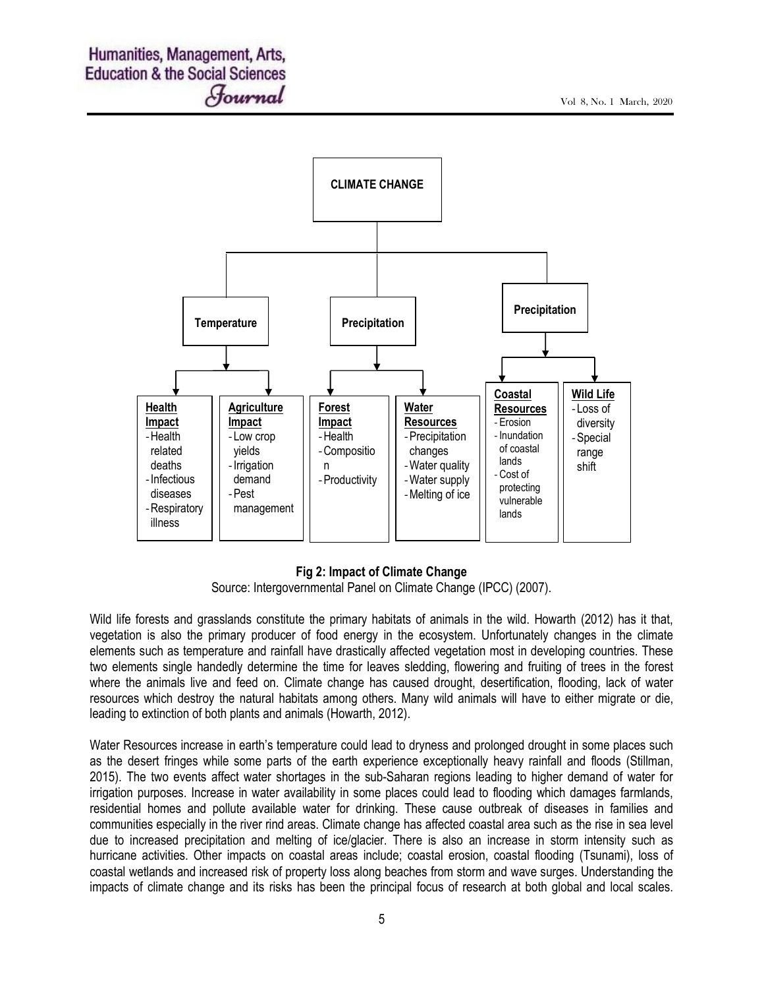

### Fig 2: Impact of Climate Change

Source: Intergovernmental Panel on Climate Change (IPCC) (2007).

Wild life forests and grasslands constitute the primary habitats of animals in the wild. Howarth (2012) has it that, vegetation is also the primary producer of food energy in the ecosystem. Unfortunately changes in the climate elements such as temperature and rainfall have drastically affected vegetation most in developing countries. These two elements single handedly determine the time for leaves sledding, flowering and fruiting of trees in the forest where the animals live and feed on. Climate change has caused drought, desertification, flooding, lack of water resources which destroy the natural habitats among others. Many wild animals will have to either migrate or die, leading to extinction of both plants and animals (Howarth, 2012).

Water Resources increase in earth's temperature could lead to dryness and prolonged drought in some places such as the desert fringes while some parts of the earth experience exceptionally heavy rainfall and floods (Stillman, 2015). The two events affect water shortages in the sub-Saharan regions leading to higher demand of water for irrigation purposes. Increase in water availability in some places could lead to flooding which damages farmlands, residential homes and pollute available water for drinking. These cause outbreak of diseases in families and communities especially in the river rind areas. Climate change has affected coastal area such as the rise in sea level due to increased precipitation and melting of ice/glacier. There is also an increase in storm intensity such as hurricane activities. Other impacts on coastal areas include; coastal erosion, coastal flooding (Tsunami), loss of coastal wetlands and increased risk of property loss along beaches from storm and wave surges. Understanding the impacts of climate change and its risks has been the principal focus of research at both global and local scales.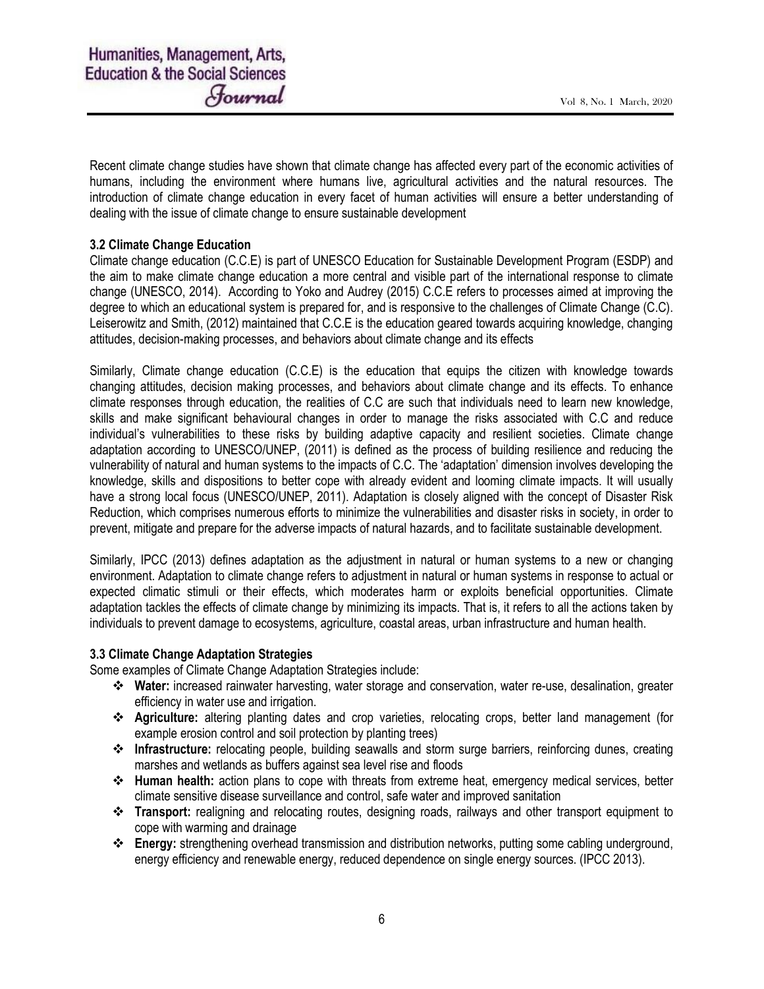Recent climate change studies have shown that climate change has affected every part of the economic activities of humans, including the environment where humans live, agricultural activities and the natural resources. The introduction of climate change education in every facet of human activities will ensure a better understanding of dealing with the issue of climate change to ensure sustainable development

### 3.2 Climate Change Education

Climate change education (C.C.E) is part of UNESCO Education for Sustainable Development Program (ESDP) and the aim to make climate change education a more central and visible part of the international response to climate change (UNESCO, 2014). According to Yoko and Audrey (2015) C.C.E refers to processes aimed at improving the degree to which an educational system is prepared for, and is responsive to the challenges of Climate Change (C.C). Leiserowitz and Smith, (2012) maintained that C.C.E is the education geared towards acquiring knowledge, changing attitudes, decision-making processes, and behaviors about climate change and its effects

Similarly, Climate change education (C.C.E) is the education that equips the citizen with knowledge towards changing attitudes, decision making processes, and behaviors about climate change and its effects. To enhance climate responses through education, the realities of C.C are such that individuals need to learn new knowledge, skills and make significant behavioural changes in order to manage the risks associated with C.C and reduce individual's vulnerabilities to these risks by building adaptive capacity and resilient societies. Climate change adaptation according to UNESCO/UNEP, (2011) is defined as the process of building resilience and reducing the vulnerability of natural and human systems to the impacts of C.C. The 'adaptation' dimension involves developing the knowledge, skills and dispositions to better cope with already evident and looming climate impacts. It will usually have a strong local focus (UNESCO/UNEP, 2011). Adaptation is closely aligned with the concept of Disaster Risk Reduction, which comprises numerous efforts to minimize the vulnerabilities and disaster risks in society, in order to prevent, mitigate and prepare for the adverse impacts of natural hazards, and to facilitate sustainable development.

Similarly, IPCC (2013) defines adaptation as the adjustment in natural or human systems to a new or changing environment. Adaptation to climate change refers to adjustment in natural or human systems in response to actual or expected climatic stimuli or their effects, which moderates harm or exploits beneficial opportunities. Climate adaptation tackles the effects of climate change by minimizing its impacts. That is, it refers to all the actions taken by individuals to prevent damage to ecosystems, agriculture, coastal areas, urban infrastructure and human health.

#### 3.3 Climate Change Adaptation Strategies

Some examples of Climate Change Adaptation Strategies include:

- Water: increased rainwater harvesting, water storage and conservation, water re-use, desalination, greater efficiency in water use and irrigation.
- Agriculture: altering planting dates and crop varieties, relocating crops, better land management (for example erosion control and soil protection by planting trees)
- Infrastructure: relocating people, building seawalls and storm surge barriers, reinforcing dunes, creating marshes and wetlands as buffers against sea level rise and floods
- Human health: action plans to cope with threats from extreme heat, emergency medical services, better climate sensitive disease surveillance and control, safe water and improved sanitation
- Transport: realigning and relocating routes, designing roads, railways and other transport equipment to cope with warming and drainage
- Energy: strengthening overhead transmission and distribution networks, putting some cabling underground, energy efficiency and renewable energy, reduced dependence on single energy sources. (IPCC 2013).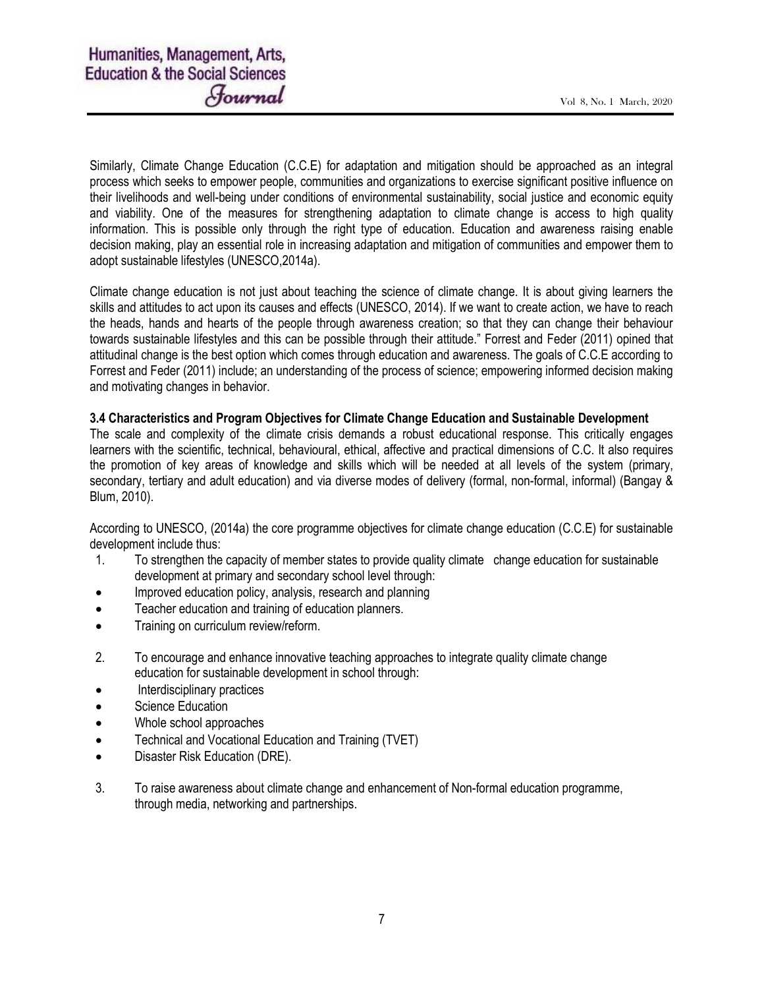Similarly, Climate Change Education (C.C.E) for adaptation and mitigation should be approached as an integral process which seeks to empower people, communities and organizations to exercise significant positive influence on their livelihoods and well-being under conditions of environmental sustainability, social justice and economic equity and viability. One of the measures for strengthening adaptation to climate change is access to high quality information. This is possible only through the right type of education. Education and awareness raising enable decision making, play an essential role in increasing adaptation and mitigation of communities and empower them to adopt sustainable lifestyles (UNESCO,2014a).

Climate change education is not just about teaching the science of climate change. It is about giving learners the skills and attitudes to act upon its causes and effects (UNESCO, 2014). If we want to create action, we have to reach the heads, hands and hearts of the people through awareness creation; so that they can change their behaviour towards sustainable lifestyles and this can be possible through their attitude." Forrest and Feder (2011) opined that attitudinal change is the best option which comes through education and awareness. The goals of C.C.E according to Forrest and Feder (2011) include; an understanding of the process of science; empowering informed decision making and motivating changes in behavior.

### 3.4 Characteristics and Program Objectives for Climate Change Education and Sustainable Development

The scale and complexity of the climate crisis demands a robust educational response. This critically engages learners with the scientific, technical, behavioural, ethical, affective and practical dimensions of C.C. It also requires the promotion of key areas of knowledge and skills which will be needed at all levels of the system (primary, secondary, tertiary and adult education) and via diverse modes of delivery (formal, non-formal, informal) (Bangay & Blum, 2010).

According to UNESCO, (2014a) the core programme objectives for climate change education (C.C.E) for sustainable development include thus:

- 1. To strengthen the capacity of member states to provide quality climate change education for sustainable development at primary and secondary school level through:
- Improved education policy, analysis, research and planning
- Teacher education and training of education planners.
- **•** Training on curriculum review/reform.
- 2. To encourage and enhance innovative teaching approaches to integrate quality climate change education for sustainable development in school through:
- Interdisciplinary practices
- Science Education
- Whole school approaches
- Technical and Vocational Education and Training (TVET)
- Disaster Risk Education (DRE).
- 3. To raise awareness about climate change and enhancement of Non-formal education programme, through media, networking and partnerships.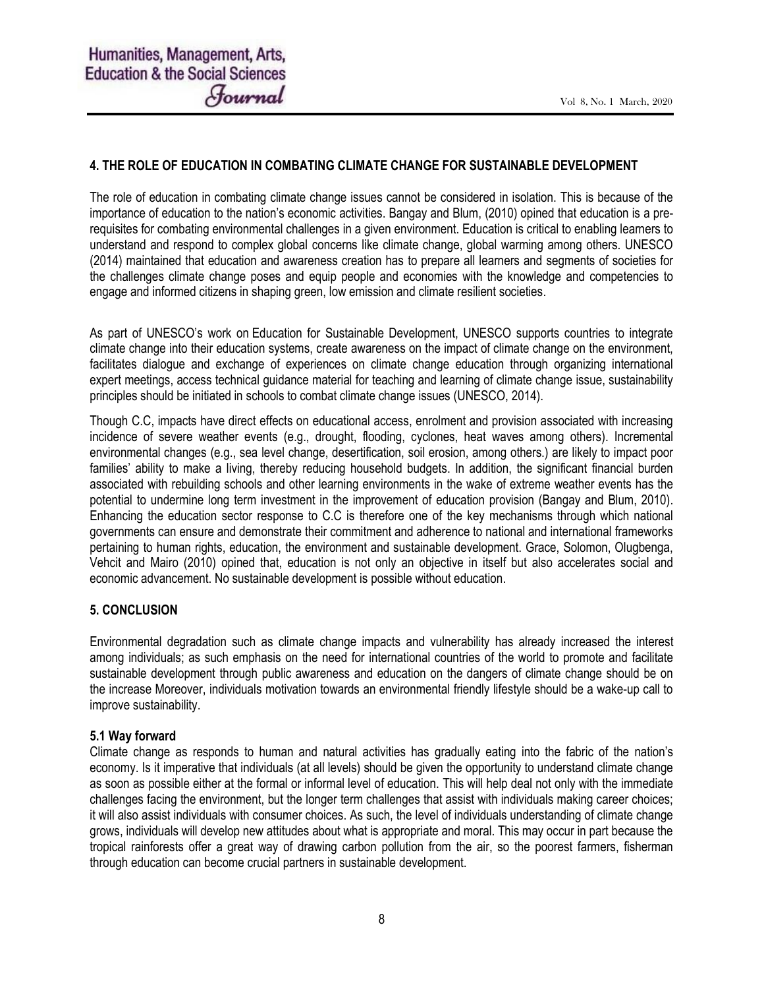### 4. THE ROLE OF EDUCATION IN COMBATING CLIMATE CHANGE FOR SUSTAINABLE DEVELOPMENT

The role of education in combating climate change issues cannot be considered in isolation. This is because of the importance of education to the nation's economic activities. Bangay and Blum, (2010) opined that education is a prerequisites for combating environmental challenges in a given environment. Education is critical to enabling learners to understand and respond to complex global concerns like climate change, global warming among others. UNESCO (2014) maintained that education and awareness creation has to prepare all learners and segments of societies for the challenges climate change poses and equip people and economies with the knowledge and competencies to engage and informed citizens in shaping green, low emission and climate resilient societies.

As part of UNESCO's work on Education for Sustainable Development, UNESCO supports countries to integrate climate change into their education systems, create awareness on the impact of climate change on the environment, facilitates dialogue and exchange of experiences on climate change education through organizing international expert meetings, access technical guidance material for teaching and learning of climate change issue, sustainability principles should be initiated in schools to combat climate change issues (UNESCO, 2014).

Though C.C, impacts have direct effects on educational access, enrolment and provision associated with increasing incidence of severe weather events (e.g., drought, flooding, cyclones, heat waves among others). Incremental environmental changes (e.g., sea level change, desertification, soil erosion, among others.) are likely to impact poor families' ability to make a living, thereby reducing household budgets. In addition, the significant financial burden associated with rebuilding schools and other learning environments in the wake of extreme weather events has the potential to undermine long term investment in the improvement of education provision (Bangay and Blum, 2010). Enhancing the education sector response to C.C is therefore one of the key mechanisms through which national governments can ensure and demonstrate their commitment and adherence to national and international frameworks pertaining to human rights, education, the environment and sustainable development. Grace, Solomon, Olugbenga, Vehcit and Mairo (2010) opined that, education is not only an objective in itself but also accelerates social and economic advancement. No sustainable development is possible without education.

### 5. CONCLUSION

Environmental degradation such as climate change impacts and vulnerability has already increased the interest among individuals; as such emphasis on the need for international countries of the world to promote and facilitate sustainable development through public awareness and education on the dangers of climate change should be on the increase Moreover, individuals motivation towards an environmental friendly lifestyle should be a wake-up call to improve sustainability.

#### 5.1 Way forward

Climate change as responds to human and natural activities has gradually eating into the fabric of the nation's economy. Is it imperative that individuals (at all levels) should be given the opportunity to understand climate change as soon as possible either at the formal or informal level of education. This will help deal not only with the immediate challenges facing the environment, but the longer term challenges that assist with individuals making career choices; it will also assist individuals with consumer choices. As such, the level of individuals understanding of climate change grows, individuals will develop new attitudes about what is appropriate and moral. This may occur in part because the tropical rainforests offer a great way of drawing carbon pollution from the air, so the poorest farmers, fisherman through education can become crucial partners in sustainable development.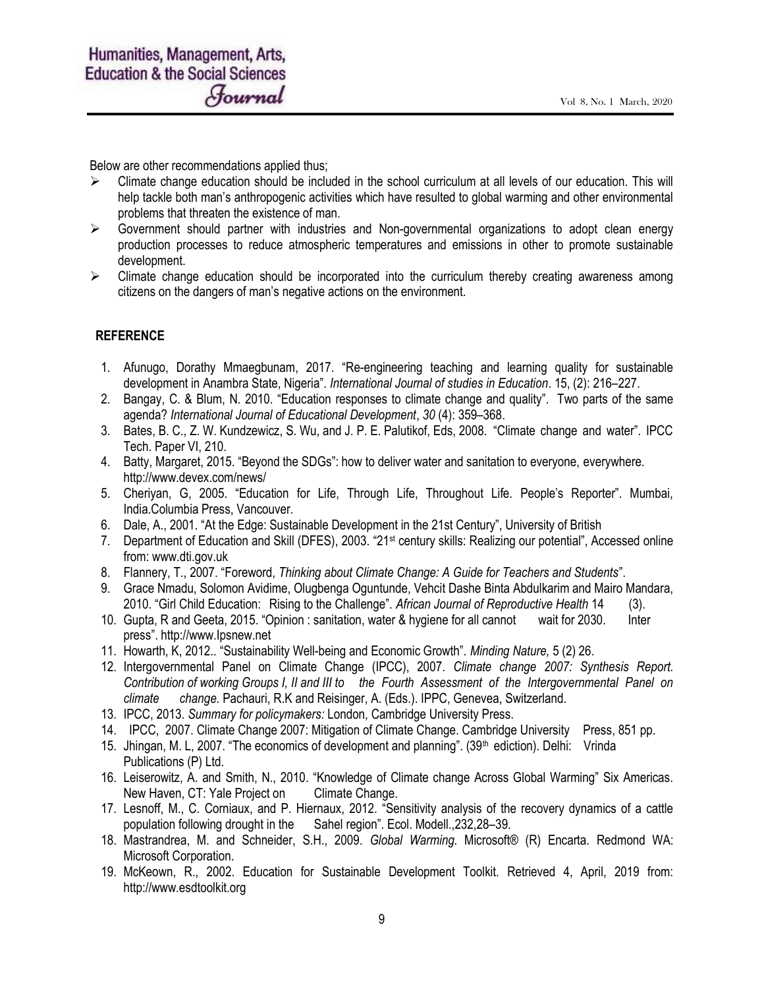Below are other recommendations applied thus;

- Climate change education should be included in the school curriculum at all levels of our education. This will help tackle both man's anthropogenic activities which have resulted to global warming and other environmental problems that threaten the existence of man.
- $\triangleright$  Government should partner with industries and Non-governmental organizations to adopt clean energy production processes to reduce atmospheric temperatures and emissions in other to promote sustainable development.
- $\triangleright$  Climate change education should be incorporated into the curriculum thereby creating awareness among citizens on the dangers of man's negative actions on the environment.

### **REFERENCE**

- 1. Afunugo, Dorathy Mmaegbunam, 2017. "Re-engineering teaching and learning quality for sustainable development in Anambra State, Nigeria". International Journal of studies in Education. 15, (2): 216–227.
- 2. Bangay, C. & Blum, N. 2010. "Education responses to climate change and quality". Two parts of the same agenda? International Journal of Educational Development, 30 (4): 359–368.
- 3. Bates, B. C., Z. W. Kundzewicz, S. Wu, and J. P. E. Palutikof, Eds, 2008. "Climate change and water". IPCC Tech. Paper VI, 210.
- 4. Batty, Margaret, 2015. "Beyond the SDGs": how to deliver water and sanitation to everyone, everywhere. http://www.devex.com/news/
- 5. Cheriyan, G, 2005. "Education for Life, Through Life, Throughout Life. People's Reporter". Mumbai, India.Columbia Press, Vancouver.
- 6. Dale, A., 2001. "At the Edge: Sustainable Development in the 21st Century", University of British
- 7. Department of Education and Skill (DFES), 2003. "21st century skills: Realizing our potential", Accessed online from: www.dti.gov.uk
- 8. Flannery, T., 2007. "Foreword, Thinking about Climate Change: A Guide for Teachers and Students".
- 9. Grace Nmadu, Solomon Avidime, Olugbenga Oguntunde, Vehcit Dashe Binta Abdulkarim and Mairo Mandara, 2010. "Girl Child Education: Rising to the Challenge". African Journal of Reproductive Health 14 (3).
- 10. Gupta, R and Geeta, 2015. "Opinion : sanitation, water & hygiene for all cannot wait for 2030. Inter press". http://www.Ipsnew.net
- 11. Howarth, K, 2012.. "Sustainability Well-being and Economic Growth". Minding Nature, 5 (2) 26.
- 12. Intergovernmental Panel on Climate Change (IPCC), 2007. Climate change 2007: Synthesis Report. Contribution of working Groups I, II and III to the Fourth Assessment of the Intergovernmental Panel on climate change. Pachauri, R.K and Reisinger, A. (Eds.). IPPC, Genevea, Switzerland.
- 13. IPCC, 2013. Summary for policymakers: London, Cambridge University Press.
- 14. IPCC, 2007. Climate Change 2007: Mitigation of Climate Change. Cambridge University Press, 851 pp.
- 15. Jhingan, M. L, 2007. "The economics of development and planning". (39<sup>th</sup> ediction). Delhi: Vrinda Publications (P) Ltd.
- 16. Leiserowitz, A. and Smith, N., 2010. "Knowledge of Climate change Across Global Warming" Six Americas. New Haven, CT: Yale Project on Climate Change.
- 17. Lesnoff, M., C. Corniaux, and P. Hiernaux, 2012. "Sensitivity analysis of the recovery dynamics of a cattle population following drought in the Sahel region". Ecol. Modell.,232,28–39.
- 18. Mastrandrea, M. and Schneider, S.H., 2009. Global Warming. Microsoft® (R) Encarta. Redmond WA: Microsoft Corporation.
- 19. McKeown, R., 2002. Education for Sustainable Development Toolkit. Retrieved 4, April, 2019 from: http://www.esdtoolkit.org